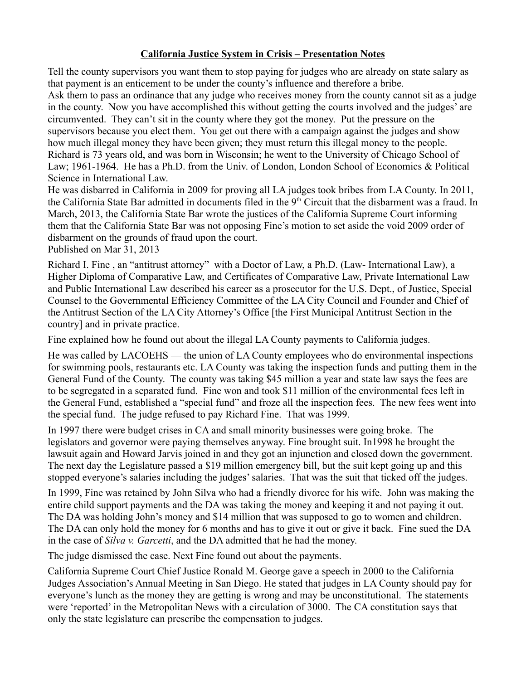## **California Justice System in Crisis – Presentation Notes**

Tell the county supervisors you want them to stop paying for judges who are already on state salary as that payment is an enticement to be under the county's influence and therefore a bribe. Ask them to pass an ordinance that any judge who receives money from the county cannot sit as a judge in the county. Now you have accomplished this without getting the courts involved and the judges' are circumvented. They can't sit in the county where they got the money. Put the pressure on the supervisors because you elect them. You get out there with a campaign against the judges and show how much illegal money they have been given; they must return this illegal money to the people. Richard is 73 years old, and was born in Wisconsin; he went to the University of Chicago School of Law; 1961-1964. He has a Ph.D. from the Univ. of London, London School of Economics & Political Science in International Law.

He was disbarred in California in 2009 for proving all LA judges took bribes from LA County. In 2011, the California State Bar admitted in documents filed in the 9<sup>th</sup> Circuit that the disbarment was a fraud. In March, 2013, the California State Bar wrote the justices of the California Supreme Court informing them that the California State Bar was not opposing Fine's motion to set aside the void 2009 order of disbarment on the grounds of fraud upon the court.

Published on Mar 31, 2013

Richard I. Fine , an "antitrust attorney" with a Doctor of Law, a Ph.D. (Law- International Law), a Higher Diploma of Comparative Law, and Certificates of Comparative Law, Private International Law and Public International Law described his career as a prosecutor for the U.S. Dept., of Justice, Special Counsel to the Governmental Efficiency Committee of the LA City Council and Founder and Chief of the Antitrust Section of the LA City Attorney's Office [the First Municipal Antitrust Section in the country] and in private practice.

Fine explained how he found out about the illegal LA County payments to California judges.

He was called by LACOEHS — the union of LA County employees who do environmental inspections for swimming pools, restaurants etc. LA County was taking the inspection funds and putting them in the General Fund of the County. The county was taking \$45 million a year and state law says the fees are to be segregated in a separated fund. Fine won and took \$11 million of the environmental fees left in the General Fund, established a "special fund" and froze all the inspection fees. The new fees went into the special fund. The judge refused to pay Richard Fine. That was 1999.

In 1997 there were budget crises in CA and small minority businesses were going broke. The legislators and governor were paying themselves anyway. Fine brought suit. In1998 he brought the lawsuit again and Howard Jarvis joined in and they got an injunction and closed down the government. The next day the Legislature passed a \$19 million emergency bill, but the suit kept going up and this stopped everyone's salaries including the judges' salaries. That was the suit that ticked off the judges.

In 1999, Fine was retained by John Silva who had a friendly divorce for his wife. John was making the entire child support payments and the DA was taking the money and keeping it and not paying it out. The DA was holding John's money and \$14 million that was supposed to go to women and children. The DA can only hold the money for 6 months and has to give it out or give it back. Fine sued the DA in the case of *Silva v. Garcetti*, and the DA admitted that he had the money.

The judge dismissed the case. Next Fine found out about the payments.

California Supreme Court Chief Justice Ronald M. George gave a speech in 2000 to the California Judges Association's Annual Meeting in San Diego. He stated that judges in LA County should pay for everyone's lunch as the money they are getting is wrong and may be unconstitutional. The statements were 'reported' in the Metropolitan News with a circulation of 3000. The CA constitution says that only the state legislature can prescribe the compensation to judges.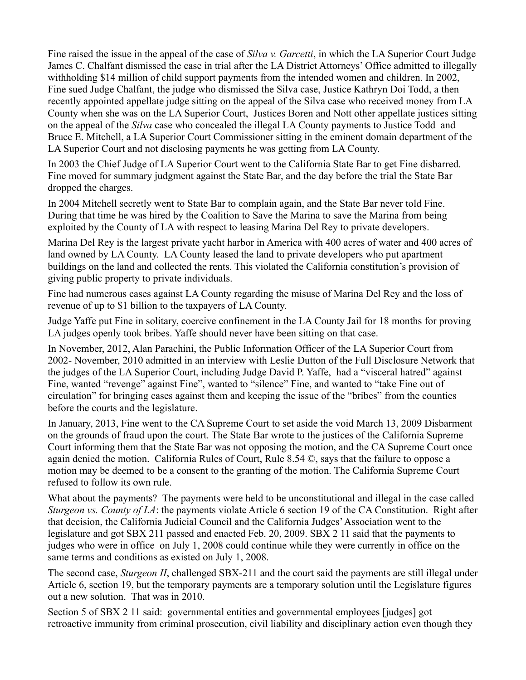Fine raised the issue in the appeal of the case of *Silva v. Garcetti*, in which the LA Superior Court Judge James C. Chalfant dismissed the case in trial after the LA District Attorneys' Office admitted to illegally withholding \$14 million of child support payments from the intended women and children. In 2002, Fine sued Judge Chalfant, the judge who dismissed the Silva case, Justice Kathryn Doi Todd, a then recently appointed appellate judge sitting on the appeal of the Silva case who received money from LA County when she was on the LA Superior Court, Justices Boren and Nott other appellate justices sitting on the appeal of the *Silva* case who concealed the illegal LA County payments to Justice Todd and Bruce E. Mitchell, a LA Superior Court Commissioner sitting in the eminent domain department of the LA Superior Court and not disclosing payments he was getting from LA County.

In 2003 the Chief Judge of LA Superior Court went to the California State Bar to get Fine disbarred. Fine moved for summary judgment against the State Bar, and the day before the trial the State Bar dropped the charges.

In 2004 Mitchell secretly went to State Bar to complain again, and the State Bar never told Fine. During that time he was hired by the Coalition to Save the Marina to save the Marina from being exploited by the County of LA with respect to leasing Marina Del Rey to private developers.

Marina Del Rey is the largest private yacht harbor in America with 400 acres of water and 400 acres of land owned by LA County. LA County leased the land to private developers who put apartment buildings on the land and collected the rents. This violated the California constitution's provision of giving public property to private individuals.

Fine had numerous cases against LA County regarding the misuse of Marina Del Rey and the loss of revenue of up to \$1 billion to the taxpayers of LA County.

Judge Yaffe put Fine in solitary, coercive confinement in the LA County Jail for 18 months for proving LA judges openly took bribes. Yaffe should never have been sitting on that case.

In November, 2012, Alan Parachini, the Public Information Officer of the LA Superior Court from 2002- November, 2010 admitted in an interview with Leslie Dutton of the Full Disclosure Network that the judges of the LA Superior Court, including Judge David P. Yaffe, had a "visceral hatred" against Fine, wanted "revenge" against Fine", wanted to "silence" Fine, and wanted to "take Fine out of circulation" for bringing cases against them and keeping the issue of the "bribes" from the counties before the courts and the legislature.

In January, 2013, Fine went to the CA Supreme Court to set aside the void March 13, 2009 Disbarment on the grounds of fraud upon the court. The State Bar wrote to the justices of the California Supreme Court informing them that the State Bar was not opposing the motion, and the CA Supreme Court once again denied the motion. California Rules of Court, Rule 8.54 ©, says that the failure to oppose a motion may be deemed to be a consent to the granting of the motion. The California Supreme Court refused to follow its own rule.

What about the payments? The payments were held to be unconstitutional and illegal in the case called *Sturgeon vs. County of LA*: the payments violate Article 6 section 19 of the CA Constitution. Right after that decision, the California Judicial Council and the California Judges' Association went to the legislature and got SBX 211 passed and enacted Feb. 20, 2009. SBX 2 11 said that the payments to judges who were in office on July 1, 2008 could continue while they were currently in office on the same terms and conditions as existed on July 1, 2008.

The second case, *Sturgeon II*, challenged SBX-211 and the court said the payments are still illegal under Article 6, section 19, but the temporary payments are a temporary solution until the Legislature figures out a new solution. That was in 2010.

Section 5 of SBX 2 11 said: governmental entities and governmental employees [judges] got retroactive immunity from criminal prosecution, civil liability and disciplinary action even though they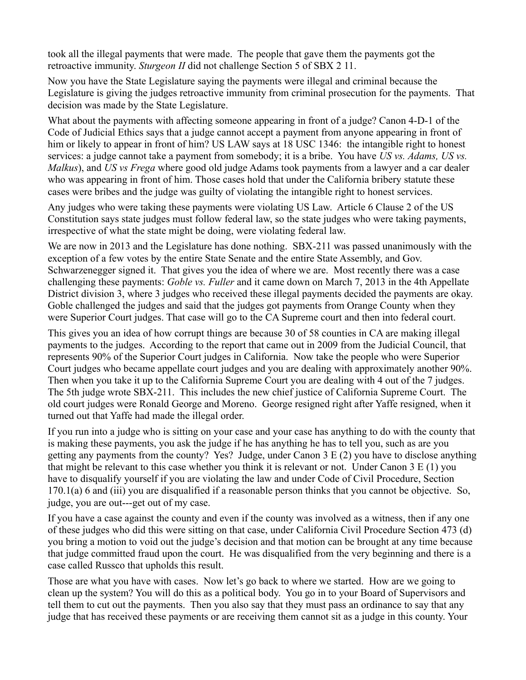took all the illegal payments that were made. The people that gave them the payments got the retroactive immunity. *Sturgeon II* did not challenge Section 5 of SBX 2 11.

Now you have the State Legislature saying the payments were illegal and criminal because the Legislature is giving the judges retroactive immunity from criminal prosecution for the payments. That decision was made by the State Legislature.

What about the payments with affecting someone appearing in front of a judge? Canon 4-D-1 of the Code of Judicial Ethics says that a judge cannot accept a payment from anyone appearing in front of him or likely to appear in front of him? US LAW says at 18 USC 1346: the intangible right to honest services: a judge cannot take a payment from somebody; it is a bribe. You have *US vs. Adams, US vs. Malkus*), and *US vs Frega* where good old judge Adams took payments from a lawyer and a car dealer who was appearing in front of him. Those cases hold that under the California bribery statute these cases were bribes and the judge was guilty of violating the intangible right to honest services.

Any judges who were taking these payments were violating US Law. Article 6 Clause 2 of the US Constitution says state judges must follow federal law, so the state judges who were taking payments, irrespective of what the state might be doing, were violating federal law.

We are now in 2013 and the Legislature has done nothing. SBX-211 was passed unanimously with the exception of a few votes by the entire State Senate and the entire State Assembly, and Gov. Schwarzenegger signed it. That gives you the idea of where we are. Most recently there was a case challenging these payments: *Goble vs. Fuller* and it came down on March 7, 2013 in the 4th Appellate District division 3, where 3 judges who received these illegal payments decided the payments are okay. Goble challenged the judges and said that the judges got payments from Orange County when they were Superior Court judges. That case will go to the CA Supreme court and then into federal court.

This gives you an idea of how corrupt things are because 30 of 58 counties in CA are making illegal payments to the judges. According to the report that came out in 2009 from the Judicial Council, that represents 90% of the Superior Court judges in California. Now take the people who were Superior Court judges who became appellate court judges and you are dealing with approximately another 90%. Then when you take it up to the California Supreme Court you are dealing with 4 out of the 7 judges. The 5th judge wrote SBX-211. This includes the new chief justice of California Supreme Court. The old court judges were Ronald George and Moreno. George resigned right after Yaffe resigned, when it turned out that Yaffe had made the illegal order.

If you run into a judge who is sitting on your case and your case has anything to do with the county that is making these payments, you ask the judge if he has anything he has to tell you, such as are you getting any payments from the county? Yes? Judge, under Canon 3 E (2) you have to disclose anything that might be relevant to this case whether you think it is relevant or not. Under Canon 3 E (1) you have to disqualify yourself if you are violating the law and under Code of Civil Procedure, Section 170.1(a) 6 and (iii) you are disqualified if a reasonable person thinks that you cannot be objective. So, judge, you are out---get out of my case.

If you have a case against the county and even if the county was involved as a witness, then if any one of these judges who did this were sitting on that case, under California Civil Procedure Section 473 (d) you bring a motion to void out the judge's decision and that motion can be brought at any time because that judge committed fraud upon the court. He was disqualified from the very beginning and there is a case called Russco that upholds this result.

Those are what you have with cases. Now let's go back to where we started. How are we going to clean up the system? You will do this as a political body. You go in to your Board of Supervisors and tell them to cut out the payments. Then you also say that they must pass an ordinance to say that any judge that has received these payments or are receiving them cannot sit as a judge in this county. Your